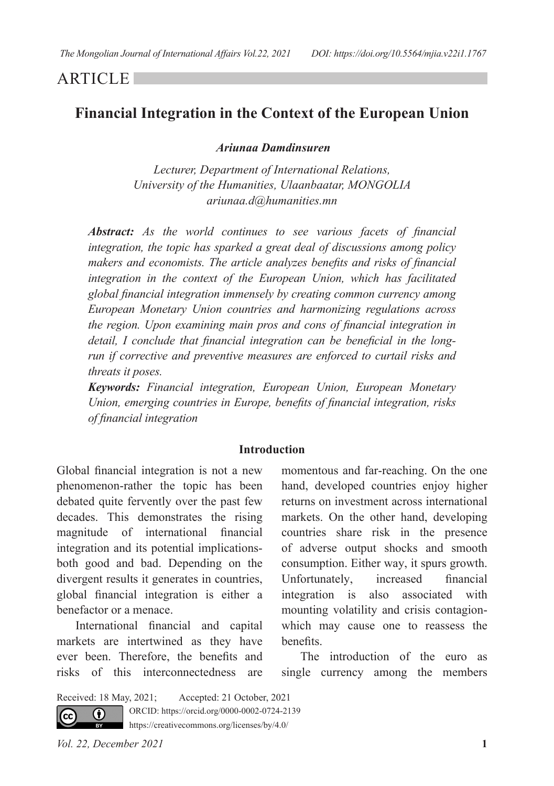## **ARTICLE**

# **Financial Integration in the Context of the European Union**

 *Ariunaa Damdinsuren*

*Lecturer, Department of International Relations, University of the Humanities, Ulaanbaatar, MONGOLIA ariunaa.d@humanities.mn*

*Abstract: As the world continues to see various facets of financial integration, the topic has sparked a great deal of discussions among policy makers and economists. The article analyzes benefits and risks of financial integration in the context of the European Union, which has facilitated global financial integration immensely by creating common currency among European Monetary Union countries and harmonizing regulations across the region. Upon examining main pros and cons of financial integration in detail, I conclude that financial integration can be beneficial in the longrun if corrective and preventive measures are enforced to curtail risks and threats it poses.* 

*Keywords: Financial integration, European Union, European Monetary Union, emerging countries in Europe, benefits of financial integration, risks of financial integration*

#### **Introduction**

Global financial integration is not a new phenomenon-rather the topic has been debated quite fervently over the past few decades. This demonstrates the rising magnitude of international financial integration and its potential implicationsboth good and bad. Depending on the divergent results it generates in countries, global financial integration is either a benefactor or a menace.

International financial and capital markets are intertwined as they have ever been. Therefore, the benefits and risks of this interconnectedness are

momentous and far-reaching. On the one hand, developed countries enjoy higher returns on investment across international markets. On the other hand, developing countries share risk in the presence of adverse output shocks and smooth consumption. Either way, it spurs growth. Unfortunately, increased financial integration is also associated with mounting volatility and crisis contagionwhich may cause one to reassess the benefits.

The introduction of the euro as single currency among the members

Received: 18 May, 2021; Accepted: 21 October, 2021ORCID: https://orcid.org/0000-0002-0724-2139 0 (cc **RY** 

https://creativecommons.org/licenses/by/4.0/

*Vol. 22, December 2021* **1**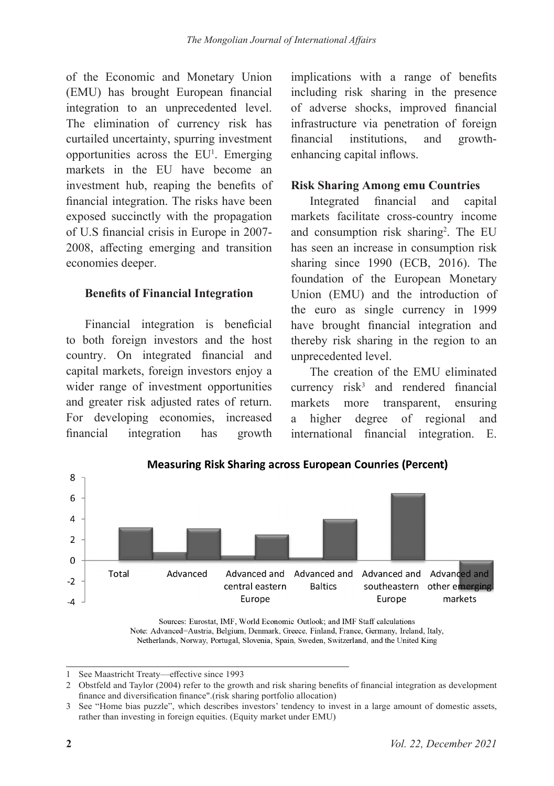of the Economic and Monetary Union (EMU) has brought European financial integration to an unprecedented level. The elimination of currency risk has curtailed uncertainty, spurring investment opportunities across the EU<sup>1</sup>. Emerging markets in the EU have become an investment hub, reaping the benefits of financial integration. The risks have been exposed succinctly with the propagation of U.S financial crisis in Europe in 2007- 2008, affecting emerging and transition economies deeper.

## **Benefits of Financial Integration**

Financial integration is beneficial to both foreign investors and the host country. On integrated financial and capital markets, foreign investors enjoy a wider range of investment opportunities and greater risk adjusted rates of return. For developing economies, increased financial integration has growth

implications with a range of benefits including risk sharing in the presence of adverse shocks, improved financial infrastructure via penetration of foreign financial institutions, and growthenhancing capital inflows.

## **Risk Sharing Among emu Countries**

Integrated financial and capital markets facilitate cross-country income and consumption risk sharing<sup>2</sup>. The EU has seen an increase in consumption risk sharing since 1990 (ECB, 2016). The foundation of the European Monetary Union (EMU) and the introduction of the euro as single currency in 1999 have brought financial integration and thereby risk sharing in the region to an unprecedented level.

The creation of the EMU eliminated currency  $risk^3$  and rendered financial markets more transparent, ensuring a higher degree of regional and international financial integration. E.



Sources: Eurostat, IMF, World Economic Outlook; and IMF Staff calculations Note: Advanced=Austria, Belgium, Denmark, Greece, Finland, France, Germany, Ireland, Italy, Netherlands, Norway, Portugal, Slovenia, Spain, Sweden, Switzerland, and the United King

1 See Maastricht Treaty—effective since 1993

<sup>2</sup> Obstfeld and Taylor (2004) refer to the growth and risk sharing benefits of financial integration as development finance and diversification finance".(risk sharing portfolio allocation)

<sup>3</sup> See "Home bias puzzle", which describes investors' tendency to invest in a large amount of domestic assets, rather than investing in foreign equities. (Equity market under EMU)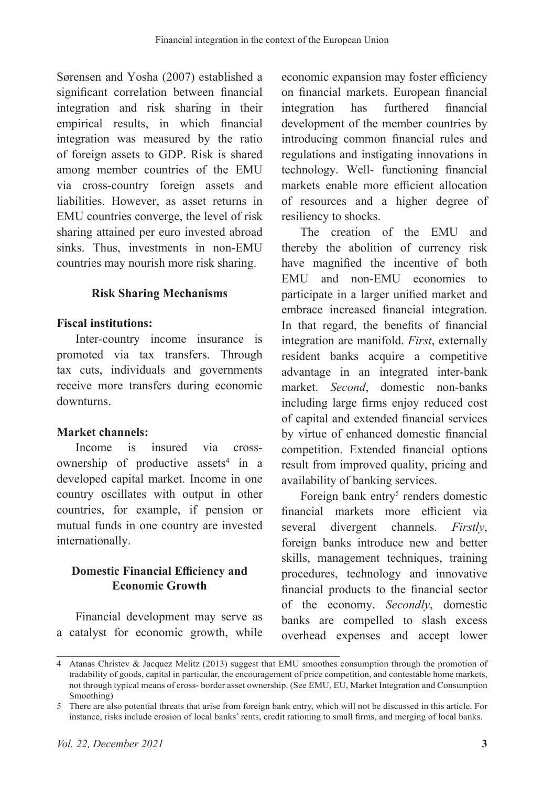Sørensen and Yosha (2007) established a significant correlation between financial integration and risk sharing in their empirical results, in which financial integration was measured by the ratio of foreign assets to GDP. Risk is shared among member countries of the EMU via cross-country foreign assets and liabilities. However, as asset returns in EMU countries converge, the level of risk sharing attained per euro invested abroad sinks. Thus, investments in non-EMU countries may nourish more risk sharing.

## **Risk Sharing Mechanisms**

#### **Fiscal institutions:**

Inter-country income insurance is promoted via tax transfers. Through tax cuts, individuals and governments receive more transfers during economic downturns.

#### **Market channels:**

Income is insured via crossownership of productive assets<sup>4</sup> in a developed capital market. Income in one country oscillates with output in other countries, for example, if pension or mutual funds in one country are invested internationally.

## **Domestic Financial Efficiency and Economic Growth**

Financial development may serve as a catalyst for economic growth, while economic expansion may foster efficiency on financial markets. European financial integration has furthered financial development of the member countries by introducing common financial rules and regulations and instigating innovations in technology. Well- functioning financial markets enable more efficient allocation of resources and a higher degree of resiliency to shocks.

The creation of the EMU and thereby the abolition of currency risk have magnified the incentive of both EMU and non-EMU economies to participate in a larger unified market and embrace increased financial integration. In that regard, the benefits of financial integration are manifold. *First*, externally resident banks acquire a competitive advantage in an integrated inter-bank market. *Second*, domestic non-banks including large firms enjoy reduced cost of capital and extended financial services by virtue of enhanced domestic financial competition. Extended financial options result from improved quality, pricing and availability of banking services.

Foreign bank entry<sup>5</sup> renders domestic financial markets more efficient via several divergent channels. *Firstly*, foreign banks introduce new and better skills, management techniques, training procedures, technology and innovative financial products to the financial sector of the economy. *Secondly*, domestic banks are compelled to slash excess overhead expenses and accept lower

<sup>4</sup> Atanas Christev & Jacquez Melitz (2013) suggest that EMU smoothes consumption through the promotion of tradability of goods, capital in particular, the encouragement of price competition, and contestable home markets, not through typical means of cross- border asset ownership. (See EMU, EU, Market Integration and Consumption Smoothing)

<sup>5</sup> There are also potential threats that arise from foreign bank entry, which will not be discussed in this article. For instance, risks include erosion of local banks' rents, credit rationing to small firms, and merging of local banks.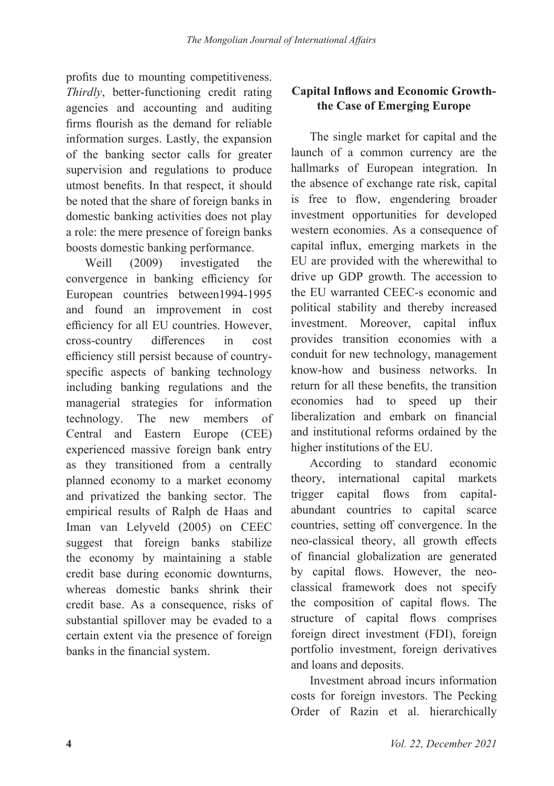profits due to mounting competitiveness. *Thirdly*, better-functioning credit rating agencies and accounting and auditing firms flourish as the demand for reliable information surges. Lastly, the expansion of the banking sector calls for greater supervision and regulations to produce utmost benefits. In that respect, it should be noted that the share of foreign banks in domestic banking activities does not play a role: the mere presence of foreign banks boosts domestic banking performance.

Weill (2009) investigated the convergence in banking efficiency for European countries between1994-1995 and found an improvement in cost efficiency for all EU countries. However, cross-country differences in cost efficiency still persist because of countryspecific aspects of banking technology including banking regulations and the managerial strategies for information technology. The new members of Central and Eastern Europe (CEE) experienced massive foreign bank entry as they transitioned from a centrally planned economy to a market economy and privatized the banking sector. The empirical results of Ralph de Haas and Iman van Lelyveld (2005) on CEEC suggest that foreign banks stabilize the economy by maintaining a stable credit base during economic downturns, whereas domestic banks shrink their credit base. As a consequence, risks of substantial spillover may be evaded to a certain extent via the presence of foreign banks in the financial system.

## **Capital Inflows and Economic Growththe Case of Emerging Europe**

The single market for capital and the launch of a common currency are the hallmarks of European integration. In the absence of exchange rate risk, capital is free to flow, engendering broader investment opportunities for developed western economies. As a consequence of capital influx, emerging markets in the EU are provided with the wherewithal to drive up GDP growth. The accession to the EU warranted CEEC-s economic and political stability and thereby increased investment. Moreover, capital influx provides transition economies with a conduit for new technology, management know-how and business networks. In return for all these benefits, the transition economies had to speed up their liberalization and embark on financial and institutional reforms ordained by the higher institutions of the EU.

According to standard economic theory, international capital markets trigger capital flows from capitalabundant countries to capital scarce countries, setting off convergence. In the neo-classical theory, all growth effects of financial globalization are generated by capital flows. However, the neoclassical framework does not specify the composition of capital flows. The structure of capital flows comprises foreign direct investment (FDI), foreign portfolio investment, foreign derivatives and loans and deposits.

Investment abroad incurs information costs for foreign investors. The Pecking Order of Razin et al. hierarchically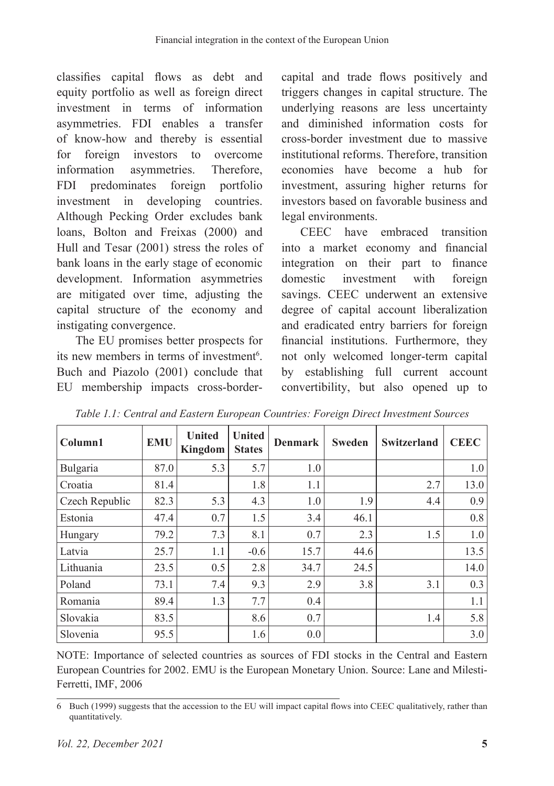classifies capital flows as debt and equity portfolio as well as foreign direct investment in terms of information asymmetries. FDI enables a transfer of know-how and thereby is essential for foreign investors to overcome information asymmetries. Therefore, FDI predominates foreign portfolio investment in developing countries. Although Pecking Order excludes bank loans, Bolton and Freixas (2000) and Hull and Tesar (2001) stress the roles of bank loans in the early stage of economic development. Information asymmetries are mitigated over time, adjusting the capital structure of the economy and instigating convergence.

The EU promises better prospects for its new members in terms of investment<sup>6</sup>. Buch and Piazolo (2001) conclude that EU membership impacts cross-border-

capital and trade flows positively and triggers changes in capital structure. The underlying reasons are less uncertainty and diminished information costs for cross-border investment due to massive institutional reforms. Therefore, transition economies have become a hub for investment, assuring higher returns for investors based on favorable business and legal environments.

CEEC have embraced transition into a market economy and financial integration on their part to finance domestic investment with foreign savings. CEEC underwent an extensive degree of capital account liberalization and eradicated entry barriers for foreign financial institutions. Furthermore, they not only welcomed longer-term capital by establishing full current account convertibility, but also opened up to

| Column1        | <b>EMU</b> | <b>United</b><br>Kingdom | <b>United</b><br><b>States</b> | <b>Denmark</b> | <b>Sweden</b> | <b>Switzerland</b> | <b>CEEC</b> |
|----------------|------------|--------------------------|--------------------------------|----------------|---------------|--------------------|-------------|
| Bulgaria       | 87.0       | 5.3                      | 5.7                            | 1.0            |               |                    | 1.0         |
| Croatia        | 81.4       |                          | 1.8                            | 1.1            |               | 2.7                | 13.0        |
| Czech Republic | 82.3       | 5.3                      | 4.3                            | 1.0            | 1.9           | 4.4                | 0.9         |
| Estonia        | 47.4       | 0.7                      | 1.5                            | 3.4            | 46.1          |                    | 0.8         |
| Hungary        | 79.2       | 7.3                      | 8.1                            | 0.7            | 2.3           | 1.5                | 1.0         |
| Latvia         | 25.7       | 1.1                      | $-0.6$                         | 15.7           | 44.6          |                    | 13.5        |
| Lithuania      | 23.5       | 0.5                      | 2.8                            | 34.7           | 24.5          |                    | 14.0        |
| Poland         | 73.1       | 7.4                      | 9.3                            | 2.9            | 3.8           | 3.1                | 0.3         |
| Romania        | 89.4       | 1.3                      | 7.7                            | 0.4            |               |                    | 1.1         |
| Slovakia       | 83.5       |                          | 8.6                            | 0.7            |               | 1.4                | 5.8         |
| Slovenia       | 95.5       |                          | 1.6                            | 0.0            |               |                    | 3.0         |

*Table 1.1: Central and Eastern European Countries: Foreign Direct Investment Sources*

NOTE: Importance of selected countries as sources of FDI stocks in the Central and Eastern European Countries for 2002. EMU is the European Monetary Union. Source: Lane and Milesti-Ferretti, IMF, 2006

<sup>6</sup> Buch (1999) suggests that the accession to the EU will impact capital flows into CEEC qualitatively, rather than quantitatively.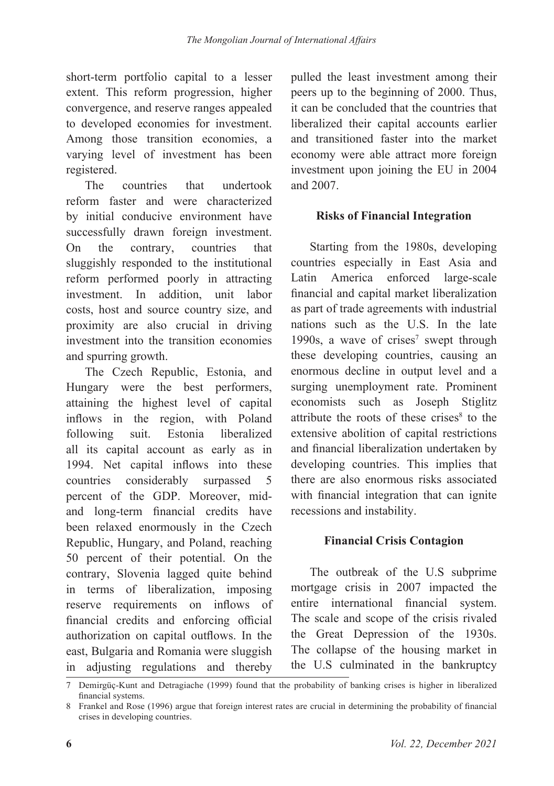short-term portfolio capital to a lesser extent. This reform progression, higher convergence, and reserve ranges appealed to developed economies for investment. Among those transition economies, a varying level of investment has been registered.

The countries that undertook reform faster and were characterized by initial conducive environment have successfully drawn foreign investment. On the contrary, countries that sluggishly responded to the institutional reform performed poorly in attracting investment. In addition, unit labor costs, host and source country size, and proximity are also crucial in driving investment into the transition economies and spurring growth.

The Czech Republic, Estonia, and Hungary were the best performers, attaining the highest level of capital inflows in the region, with Poland following suit. Estonia liberalized all its capital account as early as in 1994. Net capital inflows into these countries considerably surpassed 5 percent of the GDP. Moreover, midand long-term financial credits have been relaxed enormously in the Czech Republic, Hungary, and Poland, reaching 50 percent of their potential. On the contrary, Slovenia lagged quite behind in terms of liberalization, imposing reserve requirements on inflows of financial credits and enforcing official authorization on capital outflows. In the east, Bulgaria and Romania were sluggish in adjusting regulations and thereby

pulled the least investment among their peers up to the beginning of 2000. Thus, it can be concluded that the countries that liberalized their capital accounts earlier and transitioned faster into the market economy were able attract more foreign investment upon joining the EU in 2004 and 2007.

## **Risks of Financial Integration**

Starting from the 1980s, developing countries especially in East Asia and Latin America enforced large-scale financial and capital market liberalization as part of trade agreements with industrial nations such as the U.S. In the late 1990s, a wave of crises<sup>7</sup> swept through these developing countries, causing an enormous decline in output level and a surging unemployment rate. Prominent economists such as Joseph Stiglitz attribute the roots of these crises<sup>8</sup> to the extensive abolition of capital restrictions and financial liberalization undertaken by developing countries. This implies that there are also enormous risks associated with financial integration that can ignite recessions and instability.

## **Financial Crisis Contagion**

The outbreak of the U.S subprime mortgage crisis in 2007 impacted the entire international financial system. The scale and scope of the crisis rivaled the Great Depression of the 1930s. The collapse of the housing market in the U.S culminated in the bankruptcy

<sup>7</sup> Demirgüç-Kunt and Detragiache (1999) found that the probability of banking crises is higher in liberalized financial systems.

<sup>8</sup> Frankel and Rose (1996) argue that foreign interest rates are crucial in determining the probability of financial crises in developing countries.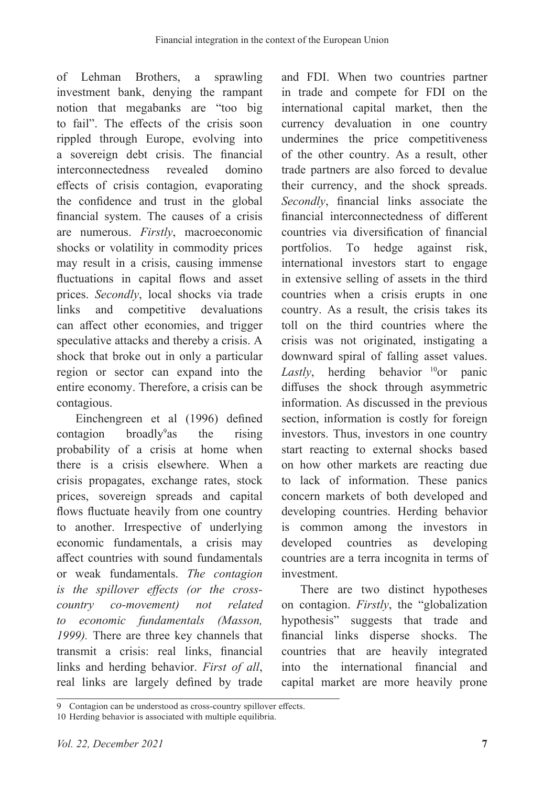of Lehman Brothers, a sprawling investment bank, denying the rampant notion that megabanks are "too big to fail". The effects of the crisis soon rippled through Europe, evolving into a sovereign debt crisis. The financial interconnectedness revealed domino effects of crisis contagion, evaporating the confidence and trust in the global financial system. The causes of a crisis are numerous. *Firstly*, macroeconomic shocks or volatility in commodity prices may result in a crisis, causing immense fluctuations in capital flows and asset prices. *Secondly*, local shocks via trade links and competitive devaluations can affect other economies, and trigger speculative attacks and thereby a crisis. A shock that broke out in only a particular region or sector can expand into the entire economy. Therefore, a crisis can be contagious.

Einchengreen et al (1996) defined  $contagion$  broadly<sup>9</sup> as the rising probability of a crisis at home when there is a crisis elsewhere. When a crisis propagates, exchange rates, stock prices, sovereign spreads and capital flows fluctuate heavily from one country to another. Irrespective of underlying economic fundamentals, a crisis may affect countries with sound fundamentals or weak fundamentals. *The contagion is the spillover effects (or the crosscountry co-movement) not related to economic fundamentals (Masson, 1999).* There are three key channels that transmit a crisis: real links, financial links and herding behavior. *First of all*, real links are largely defined by trade

and FDI. When two countries partner in trade and compete for FDI on the international capital market, then the currency devaluation in one country undermines the price competitiveness of the other country. As a result, other trade partners are also forced to devalue their currency, and the shock spreads. *Secondly*, financial links associate the financial interconnectedness of different countries via diversification of financial portfolios. To hedge against risk, international investors start to engage in extensive selling of assets in the third countries when a crisis erupts in one country. As a result, the crisis takes its toll on the third countries where the crisis was not originated, instigating a downward spiral of falling asset values. *Lastly*, herding behavior <sup>10</sup>or panic diffuses the shock through asymmetric information. As discussed in the previous section, information is costly for foreign investors. Thus, investors in one country start reacting to external shocks based on how other markets are reacting due to lack of information. These panics concern markets of both developed and developing countries. Herding behavior is common among the investors in developed countries as developing countries are a terra incognita in terms of investment.

There are two distinct hypotheses on contagion. *Firstly*, the "globalization hypothesis" suggests that trade and financial links disperse shocks. The countries that are heavily integrated into the international financial and capital market are more heavily prone

<sup>9</sup> Contagion can be understood as cross-country spillover effects.

<sup>10</sup> Herding behavior is associated with multiple equilibria.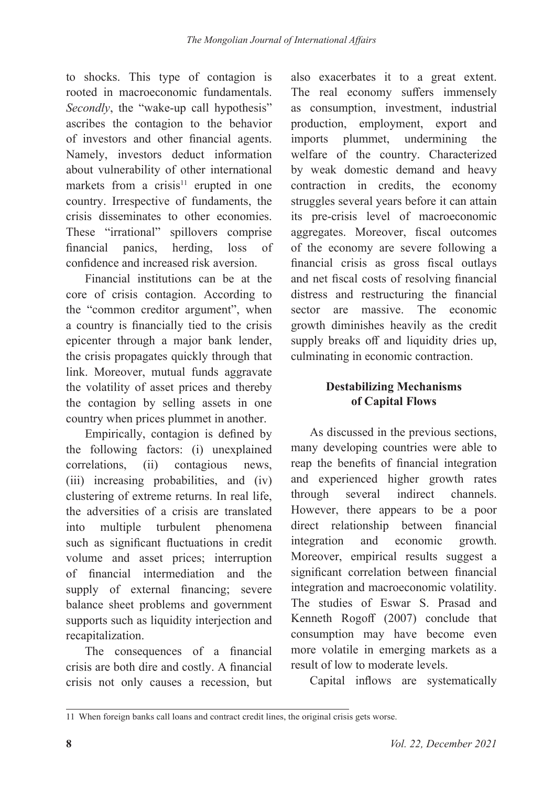to shocks. This type of contagion is rooted in macroeconomic fundamentals. *Secondly*, the "wake-up call hypothesis" ascribes the contagion to the behavior of investors and other financial agents. Namely, investors deduct information about vulnerability of other international markets from a crisis<sup>11</sup> erupted in one country. Irrespective of fundaments, the crisis disseminates to other economies. These "irrational" spillovers comprise financial panics, herding, loss of confidence and increased risk aversion.

Financial institutions can be at the core of crisis contagion. According to the "common creditor argument", when a country is financially tied to the crisis epicenter through a major bank lender, the crisis propagates quickly through that link. Moreover, mutual funds aggravate the volatility of asset prices and thereby the contagion by selling assets in one country when prices plummet in another.

Empirically, contagion is defined by the following factors: (i) unexplained correlations, (ii) contagious news, (iii) increasing probabilities, and (iv) clustering of extreme returns. In real life, the adversities of a crisis are translated into multiple turbulent phenomena such as significant fluctuations in credit volume and asset prices; interruption of financial intermediation and the supply of external financing; severe balance sheet problems and government supports such as liquidity interjection and recapitalization.

The consequences of a financial crisis are both dire and costly. A financial crisis not only causes a recession, but

also exacerbates it to a great extent. The real economy suffers immensely as consumption, investment, industrial production, employment, export and imports plummet, undermining the welfare of the country. Characterized by weak domestic demand and heavy contraction in credits, the economy struggles several years before it can attain its pre-crisis level of macroeconomic aggregates. Moreover, fiscal outcomes of the economy are severe following a financial crisis as gross fiscal outlays and net fiscal costs of resolving financial distress and restructuring the financial sector are massive. The economic growth diminishes heavily as the credit supply breaks off and liquidity dries up, culminating in economic contraction.

## **Destabilizing Mechanisms of Capital Flows**

As discussed in the previous sections, many developing countries were able to reap the benefits of financial integration and experienced higher growth rates through several indirect channels. However, there appears to be a poor direct relationship between financial integration and economic growth. Moreover, empirical results suggest a significant correlation between financial integration and macroeconomic volatility. The studies of Eswar S. Prasad and Kenneth Rogoff (2007) conclude that consumption may have become even more volatile in emerging markets as a result of low to moderate levels.

Capital inflows are systematically

<sup>11</sup> When foreign banks call loans and contract credit lines, the original crisis gets worse.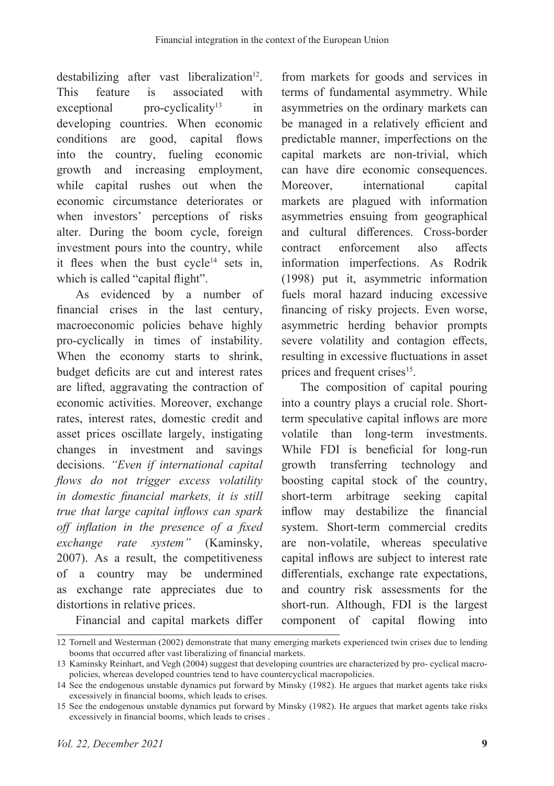destabilizing after vast liberalization $12$ . This feature is associated with  $exceptional$  pro-cyclicality<sup>13</sup> in developing countries. When economic conditions are good, capital flows into the country, fueling economic growth and increasing employment, while capital rushes out when the economic circumstance deteriorates or when investors' perceptions of risks alter. During the boom cycle, foreign investment pours into the country, while it flees when the bust  $cycle<sup>14</sup> sets in,$ which is called "capital flight".

As evidenced by a number of financial crises in the last century, macroeconomic policies behave highly pro-cyclically in times of instability. When the economy starts to shrink, budget deficits are cut and interest rates are lifted, aggravating the contraction of economic activities. Moreover, exchange rates, interest rates, domestic credit and asset prices oscillate largely, instigating changes in investment and savings decisions. *"Even if international capital flows do not trigger excess volatility in domestic financial markets, it is still true that large capital inflows can spark off inflation in the presence of a fixed exchange rate system"* (Kaminsky, 2007). As a result, the competitiveness of a country may be undermined as exchange rate appreciates due to distortions in relative prices.

from markets for goods and services in terms of fundamental asymmetry. While asymmetries on the ordinary markets can be managed in a relatively efficient and predictable manner, imperfections on the capital markets are non-trivial, which can have dire economic consequences. Moreover, international capital markets are plagued with information asymmetries ensuing from geographical and cultural differences. Cross-border contract enforcement also affects information imperfections. As Rodrik (1998) put it, asymmetric information fuels moral hazard inducing excessive financing of risky projects. Even worse, asymmetric herding behavior prompts severe volatility and contagion effects, resulting in excessive fluctuations in asset prices and frequent crises<sup>15</sup>.

The composition of capital pouring into a country plays a crucial role. Shortterm speculative capital inflows are more volatile than long-term investments. While FDI is beneficial for long-run growth transferring technology and boosting capital stock of the country, short-term arbitrage seeking capital inflow may destabilize the financial system. Short-term commercial credits are non-volatile, whereas speculative capital inflows are subject to interest rate differentials, exchange rate expectations, and country risk assessments for the short-run. Although, FDI is the largest component of capital flowing into

Financial and capital markets differ

<sup>12</sup> Tornell and Westerman (2002) demonstrate that many emerging markets experienced twin crises due to lending booms that occurred after vast liberalizing of financial markets.

<sup>13</sup> Kaminsky Reinhart, and Vegh (2004) suggest that developing countries are characterized by pro- cyclical macropolicies, whereas developed countries tend to have countercyclical macropolicies.

<sup>14</sup> See the endogenous unstable dynamics put forward by Minsky (1982). He argues that market agents take risks excessively in financial booms, which leads to crises.

<sup>15</sup> See the endogenous unstable dynamics put forward by Minsky (1982). He argues that market agents take risks excessively in financial booms, which leads to crises .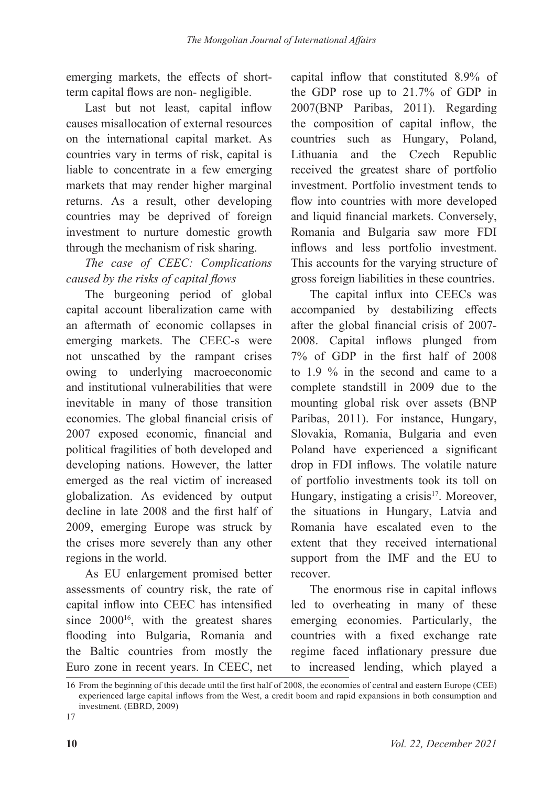emerging markets, the effects of shortterm capital flows are non- negligible.

Last but not least, capital inflow causes misallocation of external resources on the international capital market. As countries vary in terms of risk, capital is liable to concentrate in a few emerging markets that may render higher marginal returns. As a result, other developing countries may be deprived of foreign investment to nurture domestic growth through the mechanism of risk sharing.

# *The case of CEEC: Complications caused by the risks of capital flows*

The burgeoning period of global capital account liberalization came with an aftermath of economic collapses in emerging markets. The CEEC-s were not unscathed by the rampant crises owing to underlying macroeconomic and institutional vulnerabilities that were inevitable in many of those transition economies. The global financial crisis of 2007 exposed economic, financial and political fragilities of both developed and developing nations. However, the latter emerged as the real victim of increased globalization. As evidenced by output decline in late 2008 and the first half of 2009, emerging Europe was struck by the crises more severely than any other regions in the world.

As EU enlargement promised better assessments of country risk, the rate of capital inflow into CEEC has intensified since  $2000^{16}$ , with the greatest shares flooding into Bulgaria, Romania and the Baltic countries from mostly the Euro zone in recent years. In CEEC, net

capital inflow that constituted 8.9% of the GDP rose up to 21.7% of GDP in 2007(BNP Paribas, 2011). Regarding the composition of capital inflow, the countries such as Hungary, Poland, Lithuania and the Czech Republic received the greatest share of portfolio investment. Portfolio investment tends to flow into countries with more developed and liquid financial markets. Conversely, Romania and Bulgaria saw more FDI inflows and less portfolio investment. This accounts for the varying structure of gross foreign liabilities in these countries.

The capital influx into CEECs was accompanied by destabilizing effects after the global financial crisis of 2007- 2008. Capital inflows plunged from 7% of GDP in the first half of 2008 to 1.9 % in the second and came to a complete standstill in 2009 due to the mounting global risk over assets (BNP Paribas, 2011). For instance, Hungary, Slovakia, Romania, Bulgaria and even Poland have experienced a significant drop in FDI inflows. The volatile nature of portfolio investments took its toll on Hungary, instigating a crisis<sup>17</sup>. Moreover, the situations in Hungary, Latvia and Romania have escalated even to the extent that they received international support from the IMF and the EU to recover.

The enormous rise in capital inflows led to overheating in many of these emerging economies. Particularly, the countries with a fixed exchange rate regime faced inflationary pressure due to increased lending, which played a

17

<sup>16</sup> From the beginning of this decade until the first half of 2008, the economies of central and eastern Europe (CEE) experienced large capital inflows from the West, a credit boom and rapid expansions in both consumption and investment. (EBRD, 2009)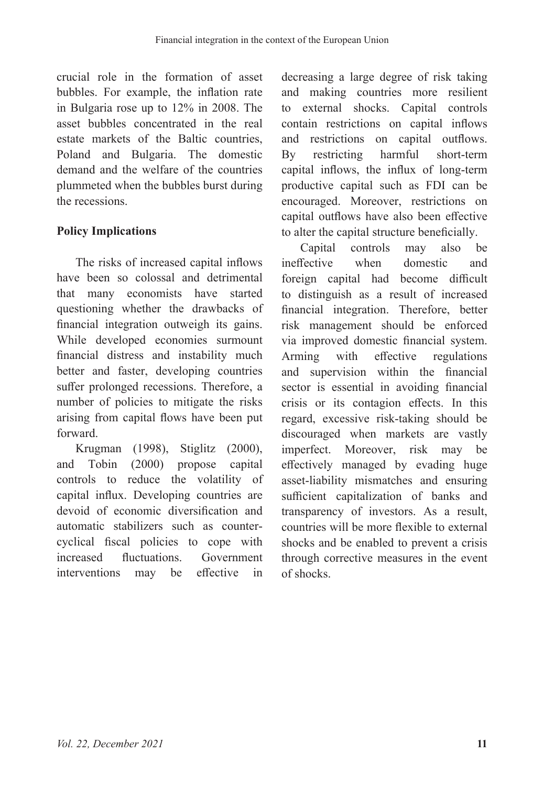crucial role in the formation of asset bubbles. For example, the inflation rate in Bulgaria rose up to 12% in 2008. The asset bubbles concentrated in the real estate markets of the Baltic countries, Poland and Bulgaria. The domestic demand and the welfare of the countries plummeted when the bubbles burst during the recessions.

## **Policy Implications**

The risks of increased capital inflows have been so colossal and detrimental that many economists have started questioning whether the drawbacks of financial integration outweigh its gains. While developed economies surmount financial distress and instability much better and faster, developing countries suffer prolonged recessions. Therefore, a number of policies to mitigate the risks arising from capital flows have been put forward.

Krugman (1998), Stiglitz (2000), and Tobin (2000) propose capital controls to reduce the volatility of capital influx. Developing countries are devoid of economic diversification and automatic stabilizers such as countercyclical fiscal policies to cope with increased fluctuations. Government interventions may be effective in

decreasing a large degree of risk taking and making countries more resilient to external shocks. Capital controls contain restrictions on capital inflows and restrictions on capital outflows. By restricting harmful short-term capital inflows, the influx of long-term productive capital such as FDI can be encouraged. Moreover, restrictions on capital outflows have also been effective to alter the capital structure beneficially.

Capital controls may also be ineffective when domestic and foreign capital had become difficult to distinguish as a result of increased financial integration. Therefore, better risk management should be enforced via improved domestic financial system. Arming with effective regulations and supervision within the financial sector is essential in avoiding financial crisis or its contagion effects. In this regard, excessive risk-taking should be discouraged when markets are vastly imperfect. Moreover, risk may be effectively managed by evading huge asset-liability mismatches and ensuring sufficient capitalization of banks and transparency of investors. As a result, countries will be more flexible to external shocks and be enabled to prevent a crisis through corrective measures in the event of shocks.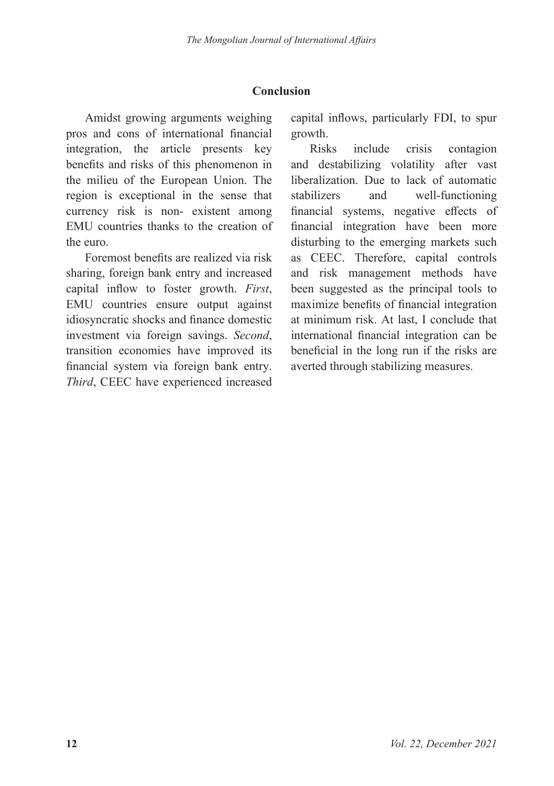## **Conclusion**

Amidst growing arguments weighing pros and cons of international financial integration, the article presents key benefits and risks of this phenomenon in the milieu of the European Union. The region is exceptional in the sense that currency risk is non- existent among EMU countries thanks to the creation of the euro.

Foremost benefits are realized via risk sharing, foreign bank entry and increased capital inflow to foster growth. *First*, EMU countries ensure output against idiosyncratic shocks and finance domestic investment via foreign savings. *Second*, transition economies have improved its financial system via foreign bank entry. *Third*, CEEC have experienced increased

capital inflows, particularly FDI, to spur growth.

Risks include crisis contagion and destabilizing volatility after vast liberalization. Due to lack of automatic stabilizers and well-functioning financial systems, negative effects of financial integration have been more disturbing to the emerging markets such as CEEC. Therefore, capital controls and risk management methods have been suggested as the principal tools to maximize benefits of financial integration at minimum risk. At last, I conclude that international financial integration can be beneficial in the long run if the risks are averted through stabilizing measures.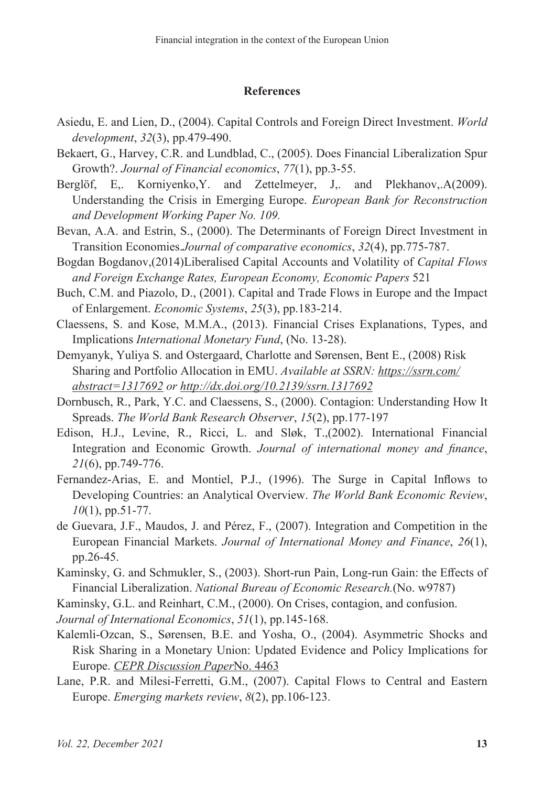#### **References**

- Asiedu, E. and Lien, D., (2004). Capital Controls and Foreign Direct Investment. *World development*, *32*(3), pp.479-490.
- Bekaert, G., Harvey, C.R. and Lundblad, C., (2005). Does Financial Liberalization Spur Growth?. *Journal of Financial economics*, *77*(1), pp.3-55.
- Berglöf, E., Korniyenko, Y. and Zettelmeyer, J., and Plekhanov, A(2009). Understanding the Crisis in Emerging Europe. *European Bank for Reconstruction and Development Working Paper No. 109.*
- Bevan, A.A. and Estrin, S., (2000). The Determinants of Foreign Direct Investment in Transition Economies.*Journal of comparative economics*, *32*(4), pp.775-787.
- Bogdan Bogdanov,(2014)Liberalised Capital Accounts and Volatility of *Capital Flows and Foreign Exchange Rates, European Economy, Economic Papers* 521
- Buch, C.M. and Piazolo, D., (2001). Capital and Trade Flows in Europe and the Impact of Enlargement. *Economic Systems*, *25*(3), pp.183-214.
- Claessens, S. and Kose, M.M.A., (2013). Financial Crises Explanations, Types, and Implications *International Monetary Fund*, (No. 13-28).
- Demyanyk, Yuliya S. and Ostergaard, Charlotte and Sørensen, Bent E., (2008) Risk Sharing and Portfolio Allocation in EMU. *Available at SSRN: https://ssrn.com/ abstract=1317692 or http://dx.doi.org/10.2139/ssrn.1317692*
- Dornbusch, R., Park, Y.C. and Claessens, S., (2000). Contagion: Understanding How It Spreads. *The World Bank Research Observer*, *15*(2), pp.177-197
- Edison, H.J., Levine, R., Ricci, L. and Sløk, T.,(2002). International Financial Integration and Economic Growth. *Journal of international money and finance*, *21*(6), pp.749-776.
- Fernandez-Arias, E. and Montiel, P.J., (1996). The Surge in Capital Inflows to Developing Countries: an Analytical Overview. *The World Bank Economic Review*, *10*(1), pp.51-77.
- de Guevara, J.F., Maudos, J. and Pérez, F., (2007). Integration and Competition in the European Financial Markets. *Journal of International Money and Finance*, *26*(1), pp.26-45.
- Kaminsky, G. and Schmukler, S., (2003). Short-run Pain, Long-run Gain: the Effects of Financial Liberalization. *National Bureau of Economic Research.*(No. w9787)
- Kaminsky, G.L. and Reinhart, C.M., (2000). On Crises, contagion, and confusion.

*Journal of International Economics*, *51*(1), pp.145-168.

- Kalemli-Ozcan, S., Sørensen, B.E. and Yosha, O., (2004). Asymmetric Shocks and Risk Sharing in a Monetary Union: Updated Evidence and Policy Implications for Europe. *CEPR Discussion Paper*No. 4463
- Lane, P.R. and Milesi-Ferretti, G.M., (2007). Capital Flows to Central and Eastern Europe. *Emerging markets review*, *8*(2), pp.106-123.